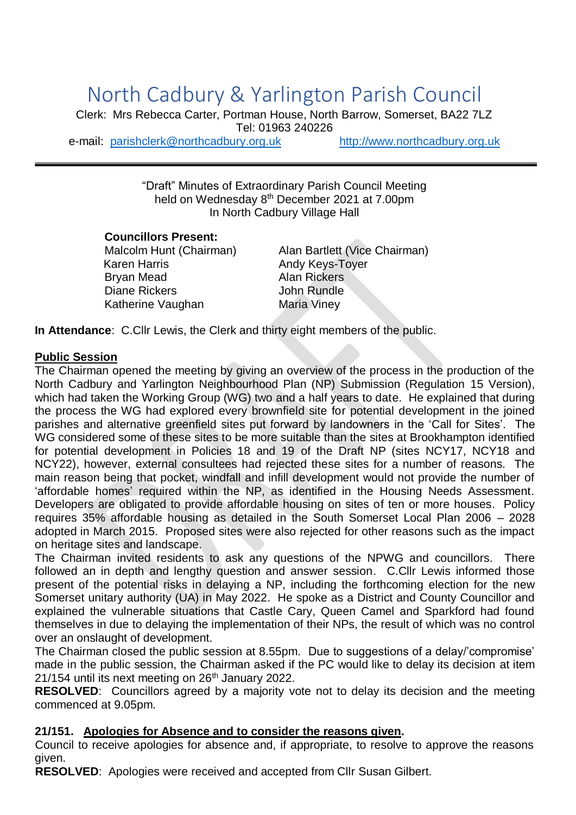# North Cadbury & Yarlington Parish Council

Clerk: Mrs Rebecca Carter, Portman House, North Barrow, Somerset, BA22 7LZ Tel: 01963 240226 e-mail: [parishclerk@northcadbury.org.uk](mailto:parishclerk@northcadbury.org.uk) [http://www.northcadbury.org.uk](http://www.northcadbury.org.uk/)

"Draft" Minutes of Extraordinary Parish Council Meeting held on Wednesday 8<sup>th</sup> December 2021 at 7.00pm In North Cadbury Village Hall

# **Councillors Present:**

Karen Harris **Andy Keys-Toyer** Brvan Mead **Alan Rickers** Diane Rickers **John Rundle** Katherine Vaughan Maria Viney

Malcolm Hunt (Chairman) Alan Bartlett (Vice Chairman)

**In Attendance**: C.Cllr Lewis, the Clerk and thirty eight members of the public.

#### **Public Session**

The Chairman opened the meeting by giving an overview of the process in the production of the North Cadbury and Yarlington Neighbourhood Plan (NP) Submission (Regulation 15 Version), which had taken the Working Group (WG) two and a half years to date. He explained that during the process the WG had explored every brownfield site for potential development in the joined parishes and alternative greenfield sites put forward by landowners in the 'Call for Sites'. The WG considered some of these sites to be more suitable than the sites at Brookhampton identified for potential development in Policies 18 and 19 of the Draft NP (sites NCY17, NCY18 and NCY22), however, external consultees had rejected these sites for a number of reasons. The main reason being that pocket, windfall and infill development would not provide the number of 'affordable homes' required within the NP, as identified in the Housing Needs Assessment. Developers are obligated to provide affordable housing on sites of ten or more houses. Policy requires 35% affordable housing as detailed in the South Somerset Local Plan 2006 – 2028 adopted in March 2015. Proposed sites were also rejected for other reasons such as the impact on heritage sites and landscape.

The Chairman invited residents to ask any questions of the NPWG and councillors. There followed an in depth and lengthy question and answer session. C.Cllr Lewis informed those present of the potential risks in delaying a NP, including the forthcoming election for the new Somerset unitary authority (UA) in May 2022. He spoke as a District and County Councillor and explained the vulnerable situations that Castle Cary, Queen Camel and Sparkford had found themselves in due to delaying the implementation of their NPs, the result of which was no control over an onslaught of development.

The Chairman closed the public session at 8.55pm. Due to suggestions of a delay/'compromise' made in the public session, the Chairman asked if the PC would like to delay its decision at item  $21/154$  until its next meeting on  $26<sup>th</sup>$  January 2022.

**RESOLVED**: Councillors agreed by a majority vote not to delay its decision and the meeting commenced at 9.05pm.

# **21/151. Apologies for Absence and to consider the reasons given.**

Council to receive apologies for absence and, if appropriate, to resolve to approve the reasons given.

**RESOLVED**: Apologies were received and accepted from Cllr Susan Gilbert.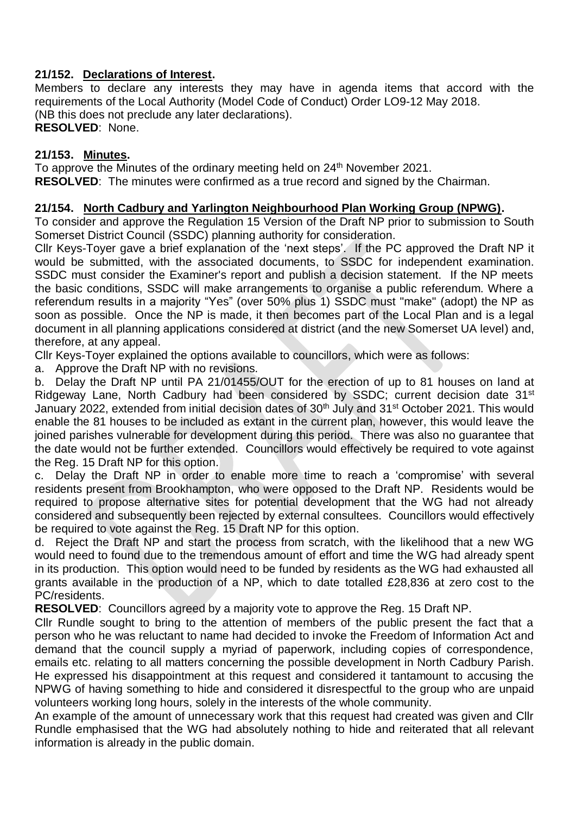# **21/152. Declarations of Interest.**

Members to declare any interests they may have in agenda items that accord with the requirements of the Local Authority (Model Code of Conduct) Order LO9-12 May 2018. (NB this does not preclude any later declarations). **RESOLVED**: None.

#### **21/153. Minutes.**

To approve the Minutes of the ordinary meeting held on 24<sup>th</sup> November 2021. **RESOLVED**: The minutes were confirmed as a true record and signed by the Chairman.

# **21/154. North Cadbury and Yarlington Neighbourhood Plan Working Group (NPWG).**

To consider and approve the Regulation 15 Version of the Draft NP prior to submission to South Somerset District Council (SSDC) planning authority for consideration.

Cllr Keys-Toyer gave a brief explanation of the 'next steps'. If the PC approved the Draft NP it would be submitted, with the associated documents, to SSDC for independent examination. SSDC must consider the Examiner's report and publish a decision statement. If the NP meets the basic conditions, SSDC will make arrangements to organise a public referendum. Where a referendum results in a majority "Yes" (over 50% plus 1) SSDC must "make" (adopt) the NP as soon as possible. Once the NP is made, it then becomes part of the Local Plan and is a legal document in all planning applications considered at district (and the new Somerset UA level) and, therefore, at any appeal.

Cllr Keys-Toyer explained the options available to councillors, which were as follows:

a. Approve the Draft NP with no revisions.

b. Delay the Draft NP until PA 21/01455/OUT for the erection of up to 81 houses on land at Ridgeway Lane, North Cadbury had been considered by SSDC; current decision date 31st January 2022, extended from initial decision dates of 30<sup>th</sup> July and 31<sup>st</sup> October 2021. This would enable the 81 houses to be included as extant in the current plan, however, this would leave the joined parishes vulnerable for development during this period. There was also no guarantee that the date would not be further extended. Councillors would effectively be required to vote against the Reg. 15 Draft NP for this option.

c. Delay the Draft NP in order to enable more time to reach a 'compromise' with several residents present from Brookhampton, who were opposed to the Draft NP. Residents would be required to propose alternative sites for potential development that the WG had not already considered and subsequently been rejected by external consultees. Councillors would effectively be required to vote against the Reg. 15 Draft NP for this option.

d. Reject the Draft NP and start the process from scratch, with the likelihood that a new WG would need to found due to the tremendous amount of effort and time the WG had already spent in its production. This option would need to be funded by residents as the WG had exhausted all grants available in the production of a NP, which to date totalled £28,836 at zero cost to the PC/residents.

**RESOLVED**: Councillors agreed by a majority vote to approve the Reg. 15 Draft NP.

Cllr Rundle sought to bring to the attention of members of the public present the fact that a person who he was reluctant to name had decided to invoke the Freedom of Information Act and demand that the council supply a myriad of paperwork, including copies of correspondence, emails etc. relating to all matters concerning the possible development in North Cadbury Parish. He expressed his disappointment at this request and considered it tantamount to accusing the NPWG of having something to hide and considered it disrespectful to the group who are unpaid volunteers working long hours, solely in the interests of the whole community.

An example of the amount of unnecessary work that this request had created was given and Cllr Rundle emphasised that the WG had absolutely nothing to hide and reiterated that all relevant information is already in the public domain.